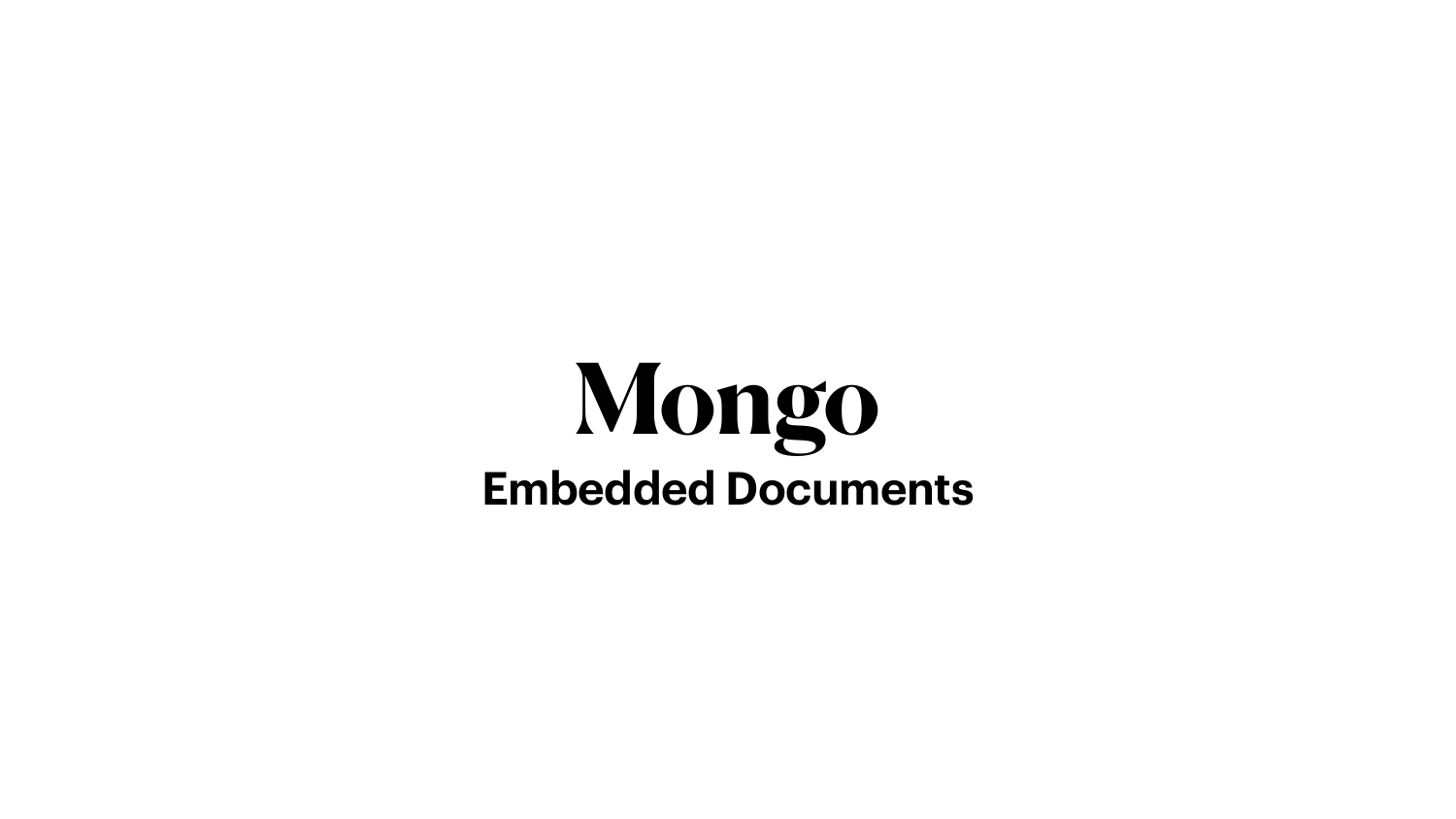# **Mongo Embedded Documents**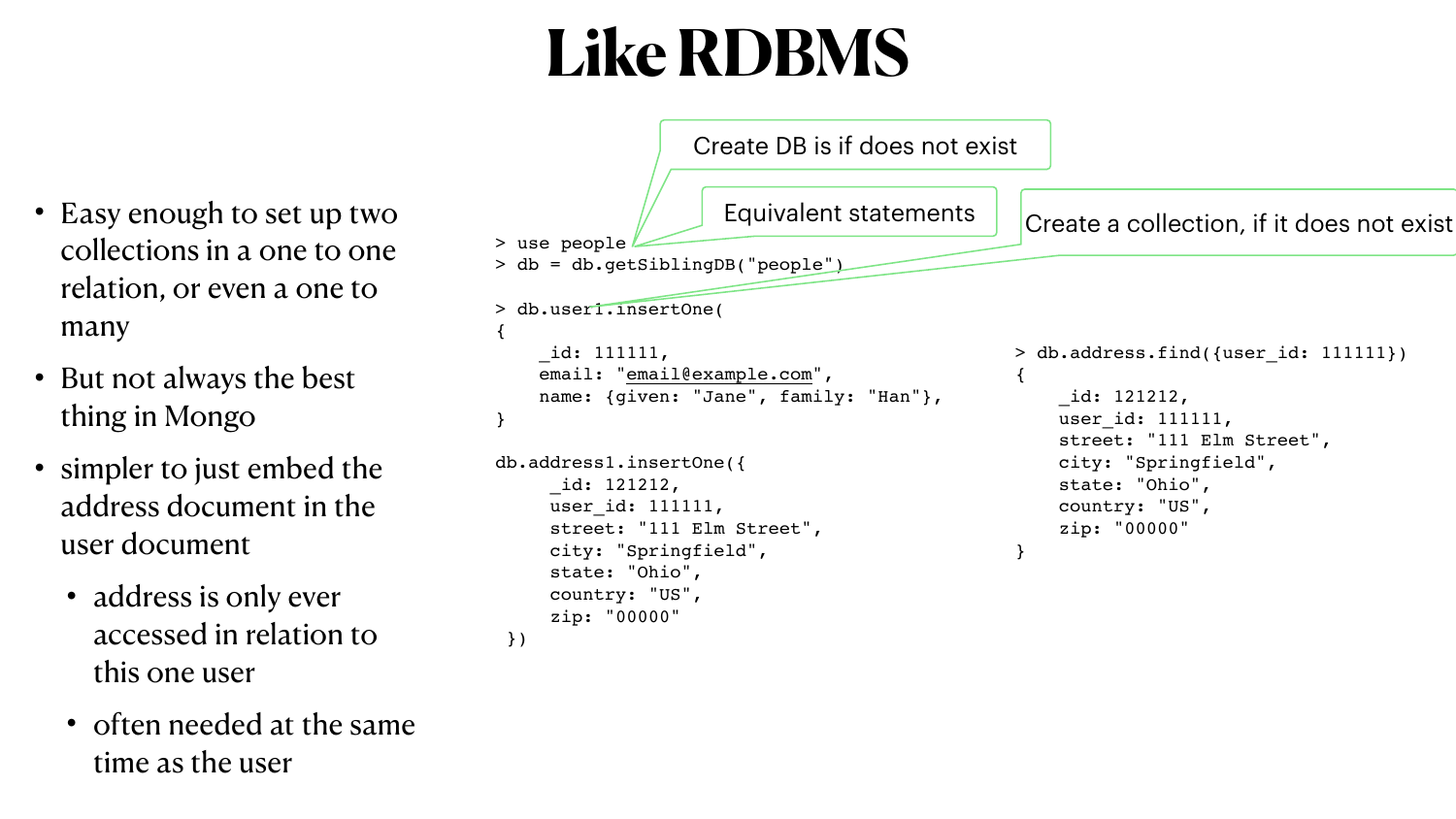#### **Like RDBMS**

- Easy enough to set up two collections in a one to one relation, or even a one to many
- But not always the best thing in Mongo
- simpler to just embed the address document in the user document
	- address is only ever accessed in relation to this one user
	- often needed at the same time as the user

```
user id: 111111,
     city: "Springfield",
     state: "Ohio",
     country: "US",
     zip: "00000"
 })
```

```
> use people
> db = db.getSiblingDB("people")
> db.user1.insertOne(
{
     _id: 111111,
    "email@example.com",
}
db.address1.insertOne({
      _id: 121212,
```
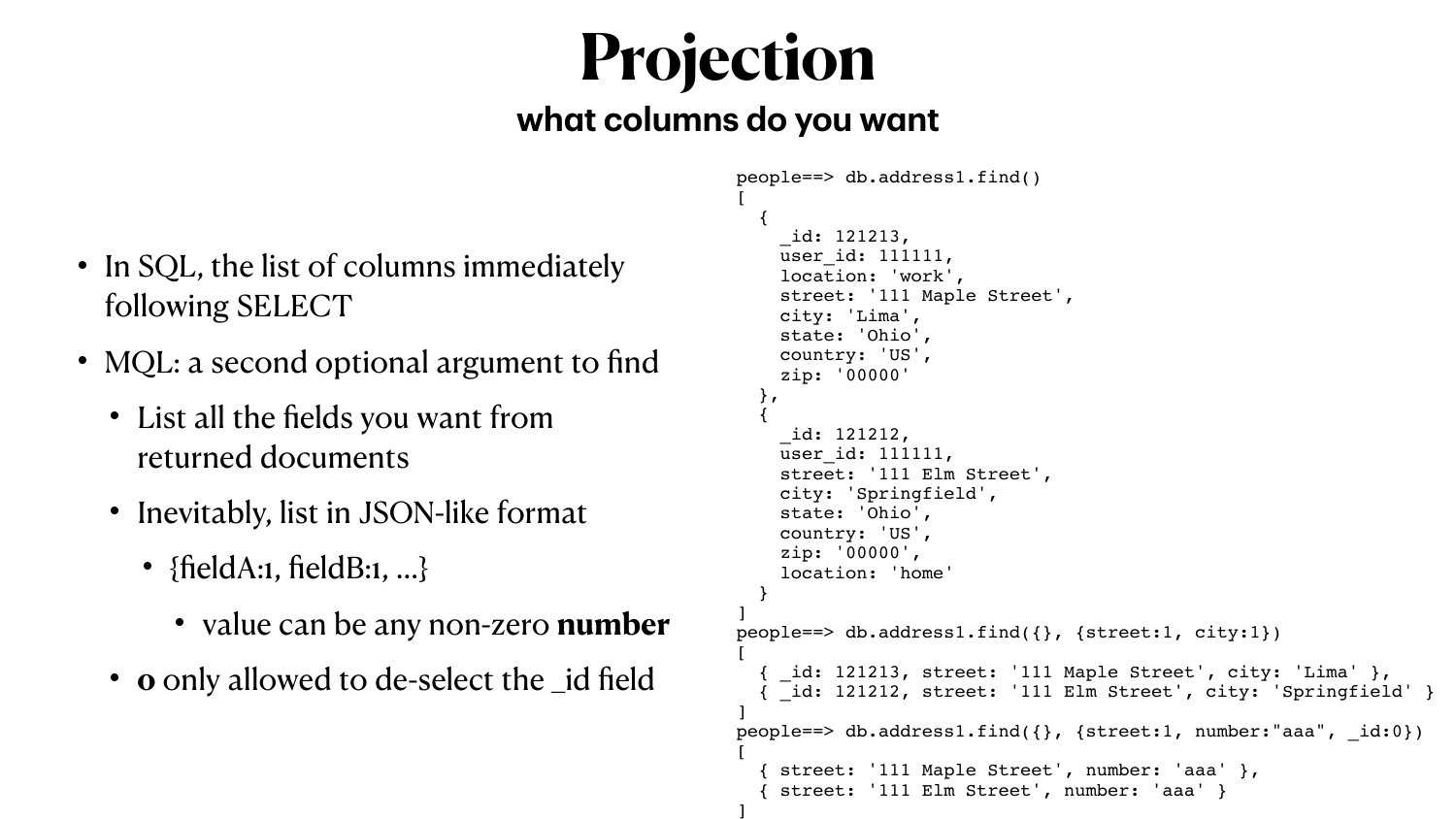#### **Projection what columns do you want**

- In SQL, the list of columns immediately following SELECT
- MQL: a second optional argument to find
	- List all the fields you want from returned documents
	- Inevitably, list in JSON-like format
		- ${fieldA:1, fieldB:1, ...}$ 
			- value can be any non-zero **number**
	- **o** only allowed to de-select the \_id field

```
people==> db.address1.find()
[
 {
      _id: 121213,
    user id: 111111,
     location: 'work',
     street: '111 Maple Street',
     city: 'Lima',
     state: 'Ohio',
     country: 'US',
     zip: '00000'
 },
 {
     _id: 121212,
    user id: 111111,
     street: '111 Elm Street',
     city: 'Springfield',
     state: 'Ohio',
     country: 'US',
     zip: '00000',
     location: 'home'
 }
]
people==> db.address1.find({}, {street:1, city:1})
[
   { _id: 121213, street: '111 Maple Street', city: 'Lima' },
   { _id: 121212, street: '111 Elm Street', city: 'Springfield' }
]
people==> db.address1.find(\{\}, \{ \text{street:1, number:} "aaa", id:0\})[
   { street: '111 Maple Street', number: 'aaa' },
    { street: '111 Elm Street', number: 'aaa' }
]
```
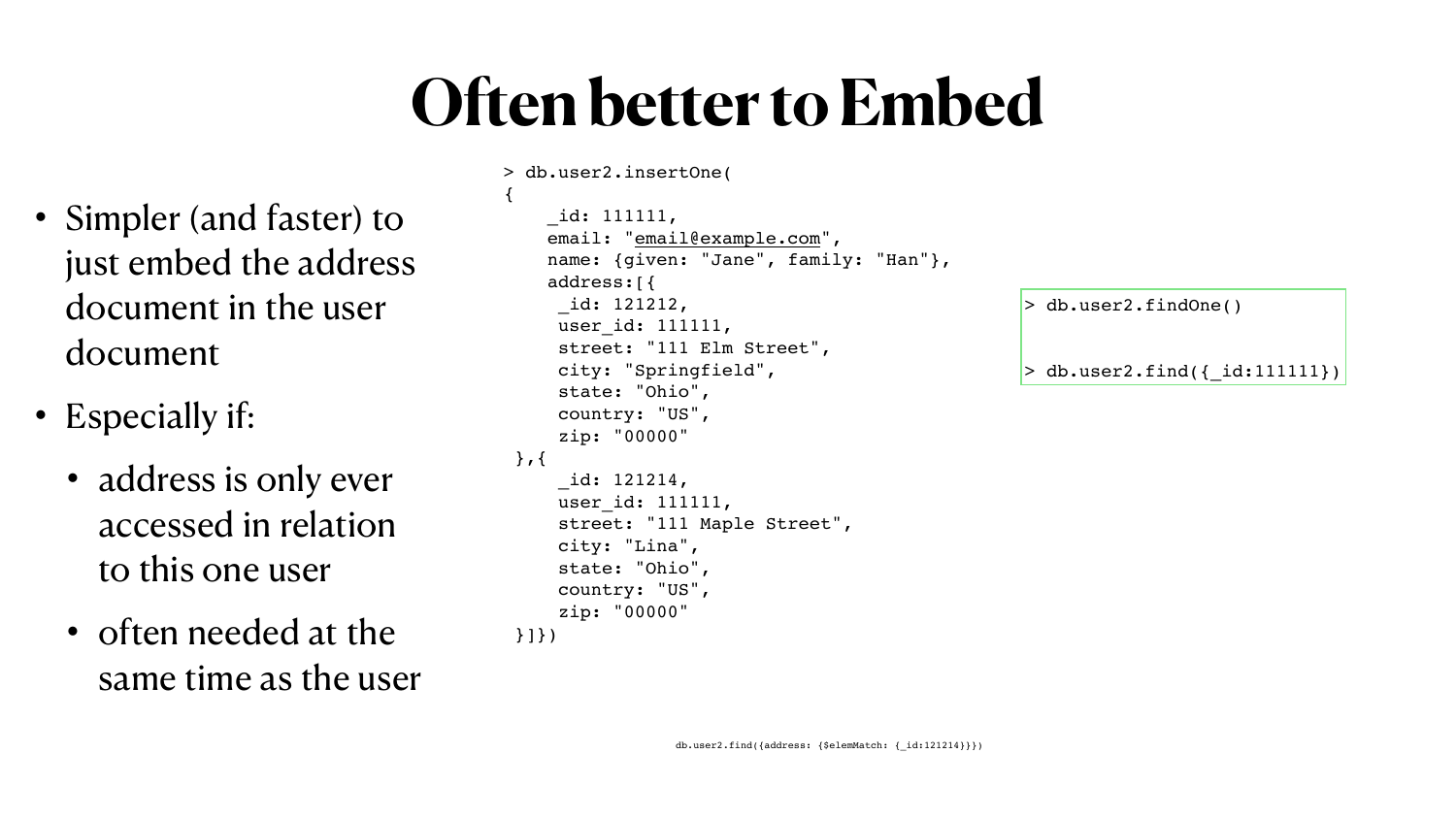## **Often better to Embed**

- Simpler (and faster) to just embed the address document in the user document
- Especially if:
	- address is only ever accessed in relation to this one user
	- often needed at the same time as the user

```
> db.user2.insertOne(
{
     _id: 111111,
    "email@example.com",
    name: {given: "Jane", family: "Han"},
     address:[{
      _id: 121212,
     user id: 111111,
      street: "111 Elm Street",
      city: "Springfield",
      state: "Ohio",
      country: "US",
      zip: "00000"
 },{
      _id: 121214,
     user id: 111111,
      street: "111 Maple Street",
      city: "Lina",
      state: "Ohio",
      country: "US",
      zip: "00000"
 }]})
```
> db.user2.findOne()

 $>$  db.user2.find({ id:11111]})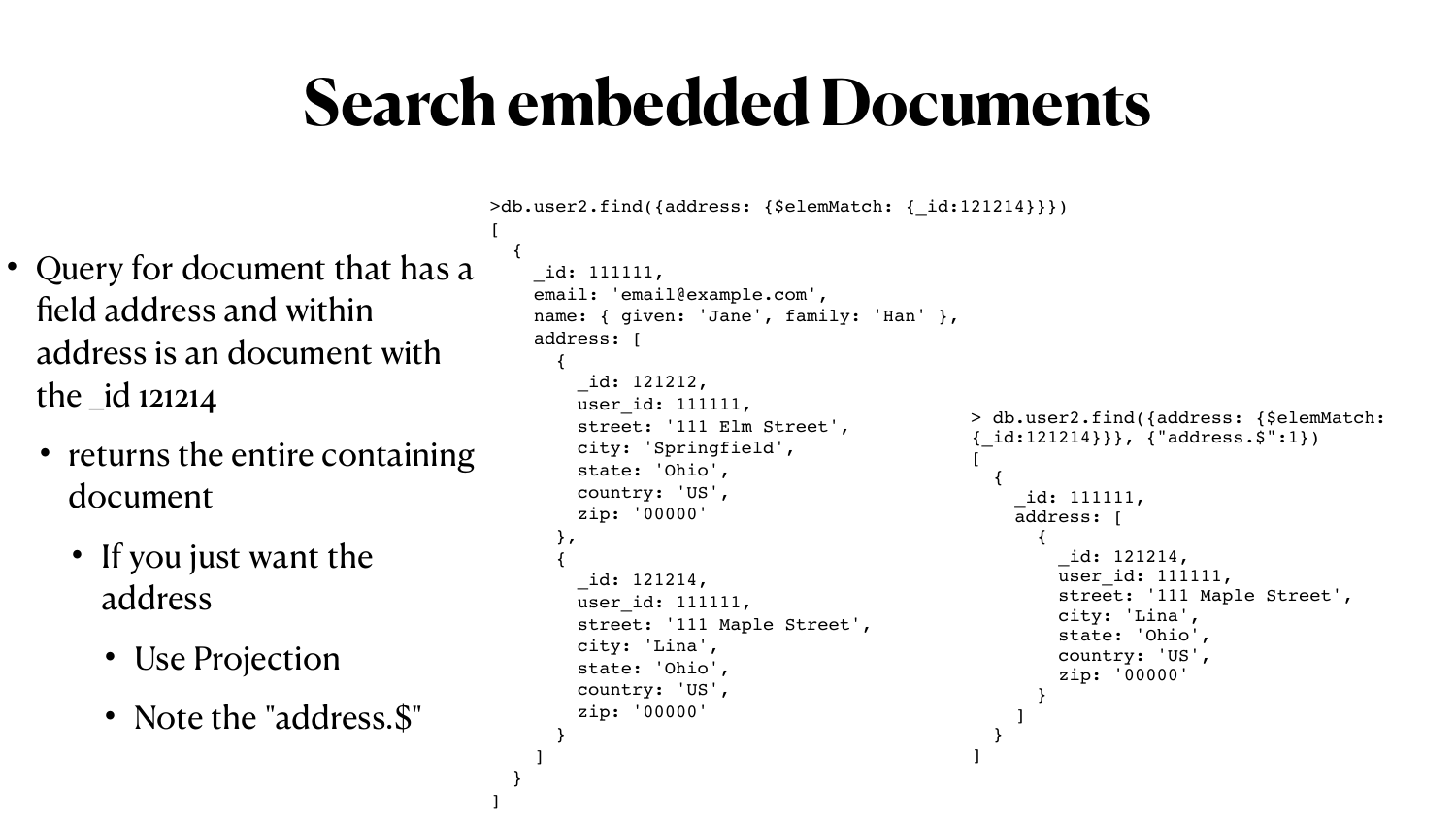#### **Search embedded Documents**

[

```
>db.user2.find({address: {$elemMatch: {_id:121214}}})
 {
     _id: 111111,
    email: 'email@example.com',
    name: { given: 'Jane', family: 'Han' },
     address: [
 {
         _id: 121212,
        user id: 111111,
         street: '111 Elm Street',
         city: 'Springfield',
         state: 'Ohio',
         country: 'US',
         zip: '00000'
       },
 {
         _id: 121214,
        user id: 111111,
         street: '111 Maple Street',
         city: 'Lina',
         state: 'Ohio',
         country: 'US',
         zip: '00000'
 }
 ]
 }
                                              > db.user2.find({address: {$elemMatch: 
                                              {_id:121214}}}, {"address.$":1})
                                              [
                                               {
                                                   _id: 111111,
                                                   address: [
                                               {
                                                       _id: 121214,
                                                      user id: 111111,
                                                       street: '111 Maple Street',
                                                       city: 'Lina',
                                                       state: 'Ohio',
                                                       country: 'US',
                                                       zip: '00000'
                                               }
                                               ]
                                               }
                                              ]
```
]

- Query for document that has a field address and within address is an document with the \_id 121214
	- returns the entire containing document
		- If you just want the address
			- Use Projection
			- Note the "address. \$"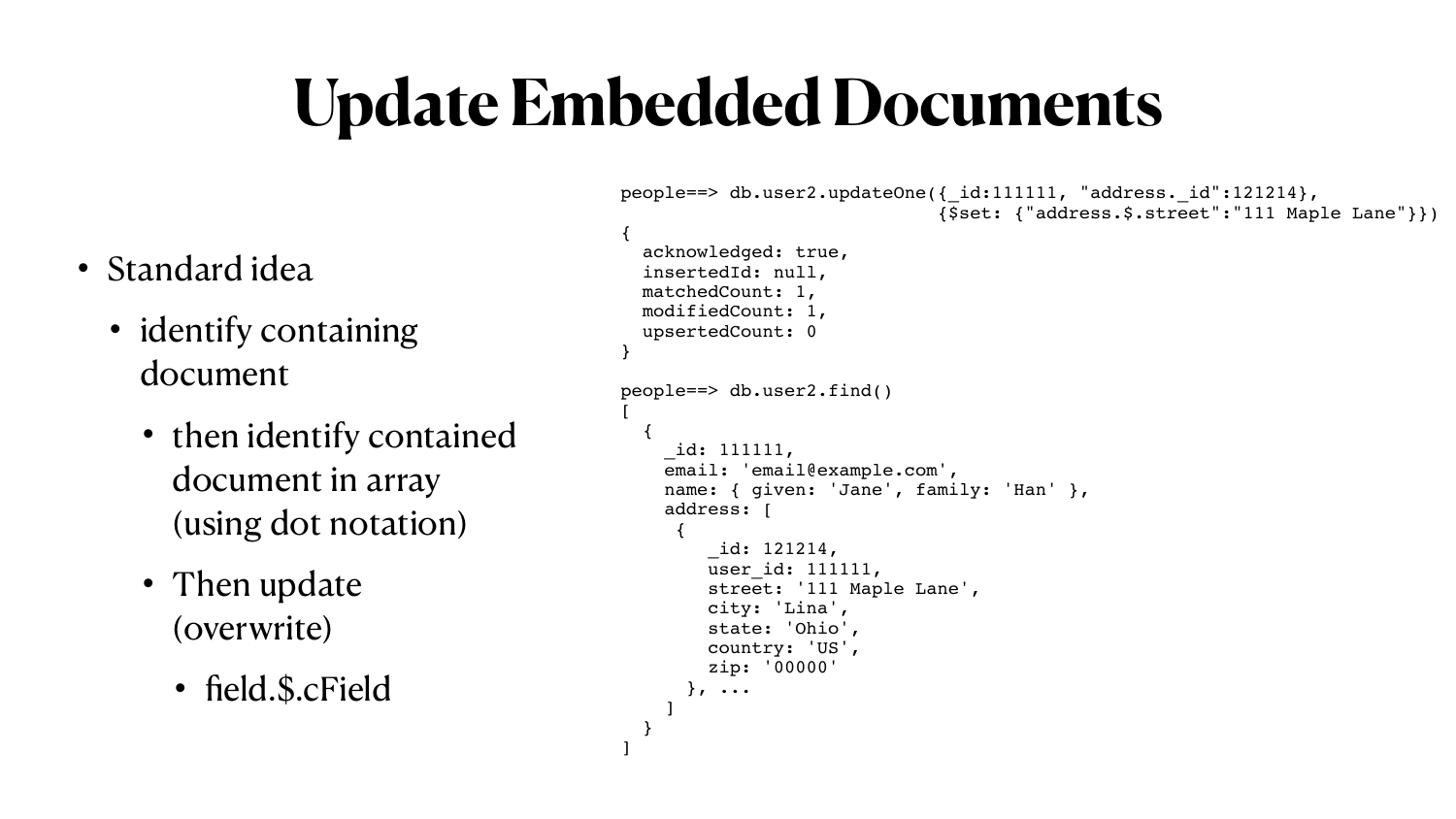# **Update Embedded Documents**

- Then update (overwrite)
	- field.\$.cField

• Standard idea • identify containing document • then identify contained document in array (using dot notation) { } [ { {

```
people==> db.user2.updateOne({_id:111111, "address._id":121214}, 
                                {$set: {"address.$.street":"111 Maple Lane"}})
   acknowledged: true,
   insertedId: null,
   matchedCount: 1,
   modifiedCount: 1,
   upsertedCount: 0
people==> db.user2.find()
     _id: 111111,
    email: 'email@example.com',
    name: { given: 'Jane', family: 'Han' },
     address: [
         _id: 121214,
        user id: 111111,
         street: '111 Maple Lane',
         city: 'Lina',
         state: 'Ohio',
         country: 'US',
         zip: '00000'
```
}, ...

]

}

]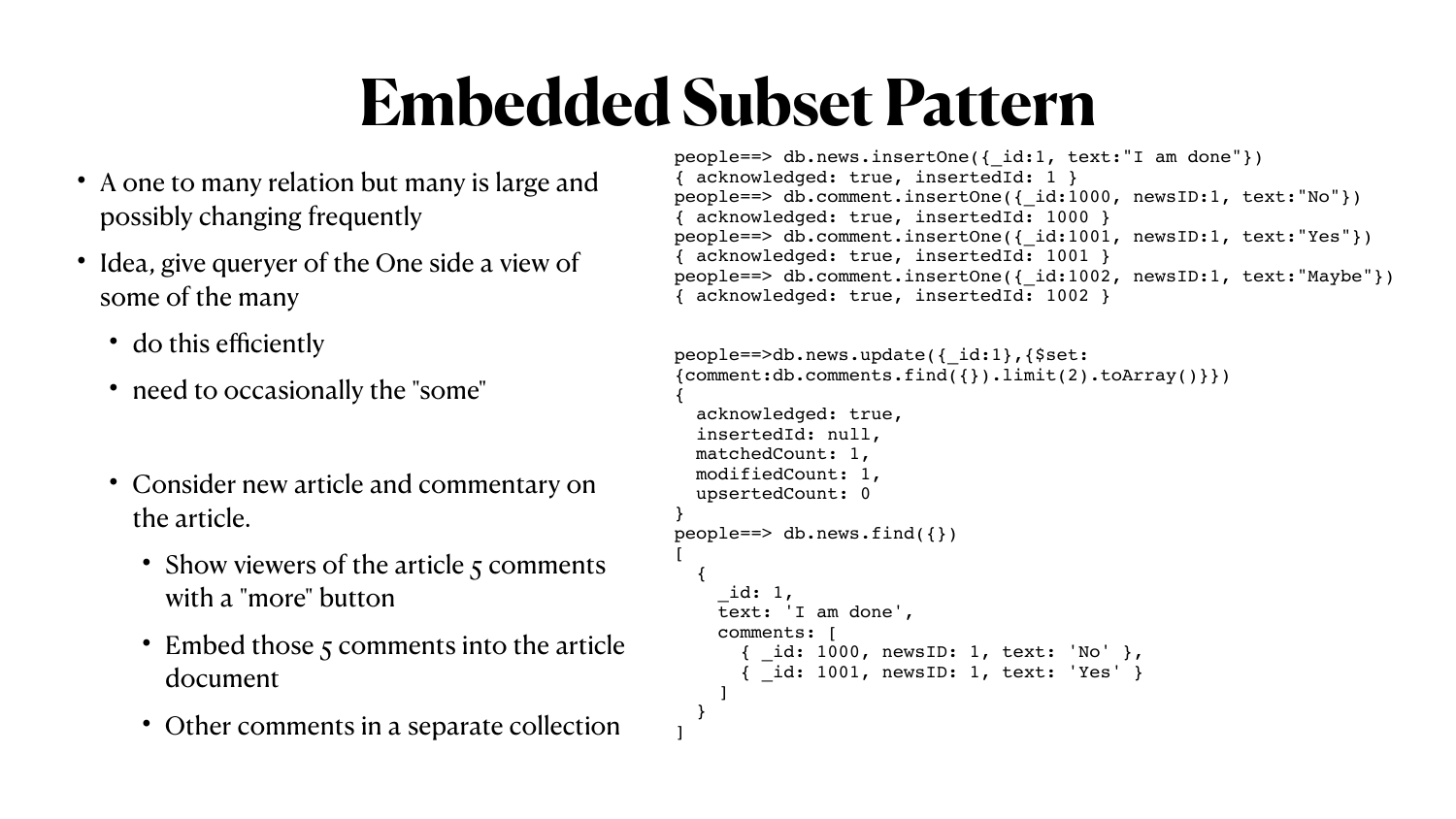## **Embedded Subset Pattern**

- A one to many relation but many is large and possibly changing frequently
- Idea, give queryer of the One side a view of some of the many
	- do this efficiently
	- need to occasionally the "some"
	- Consider new article and commentary on the article.
		- Show viewers of the article 5 comments with a "more" button
		- Embed those 5 comments into the article document
		- Other comments in a separate collection

```
people==> db.news.insertOne({_id:1, text:"I am done"})
 { acknowledged: true, insertedId: 1 }
people==> db.comment.insertOne({_id:1000, newsID:1, text:"No"})
{ acknowledged: true, insertedId: 1000 }
people==> db.comment.insertOne({ id:1001, newsID:1, text:"Yes"})
{ acknowledged: true, insertedId: 1001 }
people==> db.comment.insertOne({_id:1002, newsID:1, text:"Maybe"})
 { acknowledged: true, insertedId: 1002 }
```

```
people==>db.news.update({_id:1},{$set:
{comment:db.comments.find({}) .limit(2).toArray() }\{
   acknowledged: true,
  insertedId: null,
  matchedCount: 1,
  modifiedCount: 1,
   upsertedCount: 0
}
people==> db.next.find({})[
 {
     _id: 1,
     text: 'I am done',
     comments: [
       id: 1000, newsID: 1, text: 'No' },
         id: 1001, newsID: 1, text: 'Yes' }
 ]
 }
```
]